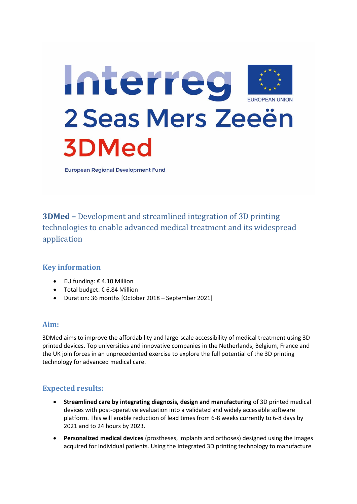

**European Regional Development Fund** 

**3DMed –** Development and streamlined integration of 3D printing technologies to enable advanced medical treatment and its widespread application

# **Key information**

- $\bullet$  EU funding:  $\epsilon$  4.10 Million
- Total budget: € 6.84 Million
- Duration: 36 months [October 2018 September 2021]

### **Aim:**

3DMed aims to improve the affordability and large-scale accessibility of medical treatment using 3D printed devices. Top universities and innovative companies in the Netherlands, Belgium, France and the UK join forces in an unprecedented exercise to explore the full potential of the 3D printing technology for advanced medical care.

# **Expected results:**

- **Streamlined care by integrating diagnosis, design and manufacturing** of 3D printed medical devices with post-operative evaluation into a validated and widely accessible software platform. This will enable reduction of lead times from 6-8 weeks currently to 6-8 days by 2021 and to 24 hours by 2023.
- **Personalized medical devices** (prostheses, implants and orthoses) designed using the images acquired for individual patients. Using the integrated 3D printing technology to manufacture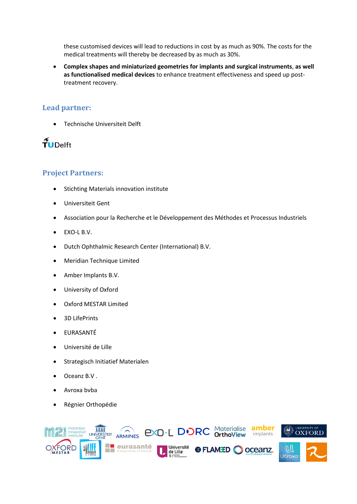these customised devices will lead to reductions in cost by as much as 90%. The costs for the medical treatments will thereby be decreased by as much as 30%.

 **Complex shapes and miniaturized geometries for implants and surgical instruments**, **as well as functionalised medical devices** to enhance treatment effectiveness and speed up posttreatment recovery.

### **Lead partner:**

Technische Universiteit Delft

# $\widetilde{\mathbf{T}}$ UDelft

# **Project Partners:**

- **•** Stichting Materials innovation institute
- Universiteit Gent
- Association pour la Recherche et le Développement des Méthodes et Processus Industriels
- EXO-L B.V.
- Dutch Ophthalmic Research Center (International) B.V.
- Meridian Technique Limited
- Amber Implants B.V.
- University of Oxford
- Oxford MESTAR Limited
- 3D LifePrints
- EURASANTÉ
- Université de Lille
- Strategisch Initiatief Materialen
- Oceanz B.V .
- Avroxa bvba
- Régnier Orthopédie